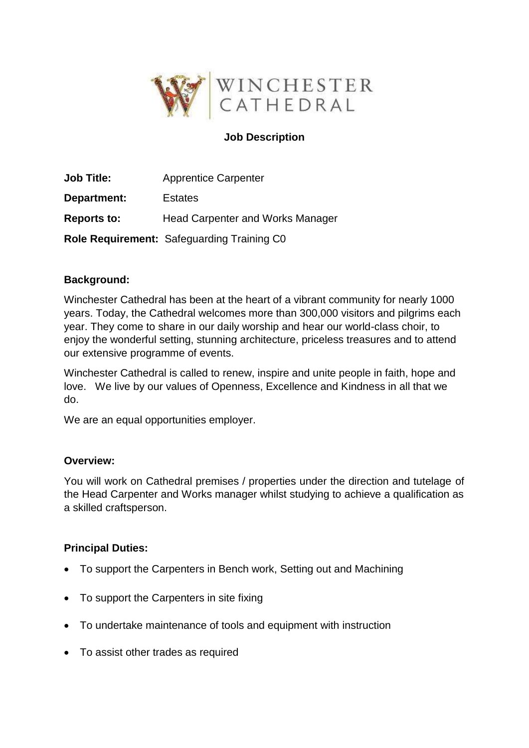

# **Job Description**

| <b>Job Title:</b>  | <b>Apprentice Carpenter</b>                       |
|--------------------|---------------------------------------------------|
| Department:        | <b>Estates</b>                                    |
| <b>Reports to:</b> | <b>Head Carpenter and Works Manager</b>           |
|                    | <b>Role Requirement: Safeguarding Training CO</b> |

### **Background:**

Winchester Cathedral has been at the heart of a vibrant community for nearly 1000 years. Today, the Cathedral welcomes more than 300,000 visitors and pilgrims each year. They come to share in our daily worship and hear our world-class choir, to enjoy the wonderful setting, stunning architecture, priceless treasures and to attend our extensive programme of events.

Winchester Cathedral is called to renew, inspire and unite people in faith, hope and love. We live by our values of Openness, Excellence and Kindness in all that we do.

We are an equal opportunities employer.

### **Overview:**

You will work on Cathedral premises / properties under the direction and tutelage of the Head Carpenter and Works manager whilst studying to achieve a qualification as a skilled craftsperson.

### **Principal Duties:**

- To support the Carpenters in Bench work, Setting out and Machining
- To support the Carpenters in site fixing
- To undertake maintenance of tools and equipment with instruction
- To assist other trades as required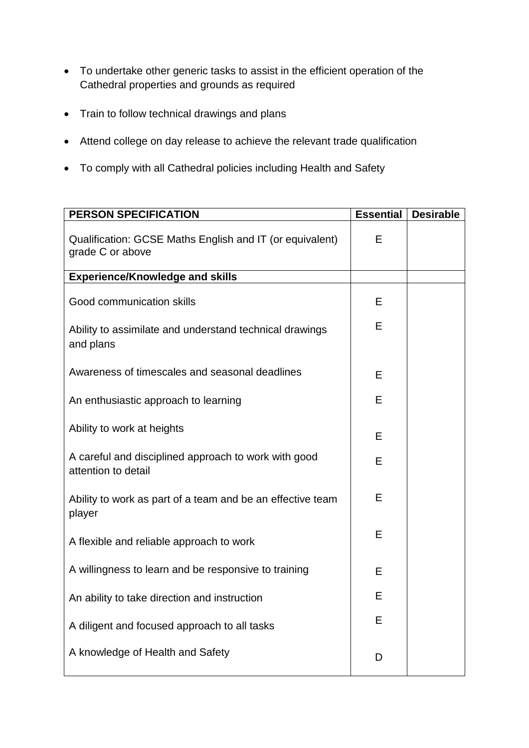- To undertake other generic tasks to assist in the efficient operation of the Cathedral properties and grounds as required
- Train to follow technical drawings and plans
- Attend college on day release to achieve the relevant trade qualification
- To comply with all Cathedral policies including Health and Safety

| <b>PERSON SPECIFICATION</b>                                                  | <b>Essential</b> | <b>Desirable</b> |
|------------------------------------------------------------------------------|------------------|------------------|
| Qualification: GCSE Maths English and IT (or equivalent)<br>grade C or above | Е                |                  |
| <b>Experience/Knowledge and skills</b>                                       |                  |                  |
| Good communication skills                                                    | Е                |                  |
| Ability to assimilate and understand technical drawings<br>and plans         | Е                |                  |
| Awareness of timescales and seasonal deadlines                               | Е                |                  |
| An enthusiastic approach to learning                                         | E                |                  |
| Ability to work at heights                                                   | E                |                  |
| A careful and disciplined approach to work with good<br>attention to detail  | Е                |                  |
| Ability to work as part of a team and be an effective team<br>player         | Е                |                  |
| A flexible and reliable approach to work                                     | Е                |                  |
| A willingness to learn and be responsive to training                         | Е                |                  |
| An ability to take direction and instruction                                 | E                |                  |
| A diligent and focused approach to all tasks                                 | Ε                |                  |
| A knowledge of Health and Safety                                             | D                |                  |